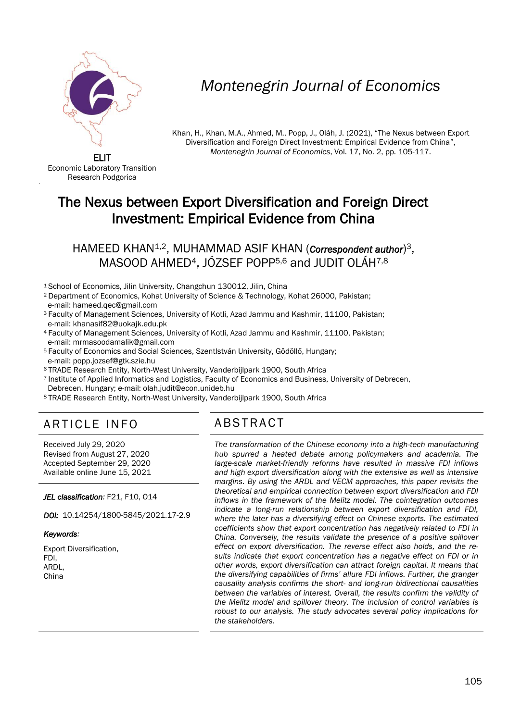

# *Montenegrin Journal of Economics*

Khan, H., Khan, M.A., Ahmed, M., Popp, J., Oláh, J. (2021), "The Nexus between Export Diversification and Foreign Direct Investment: Empirical Evidence from China", *Montenegrin Journal of Economics*, Vol. 17, No. 2, pp. 105-117.

ELIT Economic Laboratory Transition Research Podgorica

'

## The Nexus between Export Diversification and Foreign Direct Investment: Empirical Evidence from China

HAMEED KHAN1,2, MUHAMMAD ASIF KHAN (*Correspondent author*) 3, MASOOD AHMED4, JÓZSEF POPP5,6 and JUDIT OLÁH7,8

- *<sup>1</sup>*School of Economics, Jilin University, Changchun 130012, Jilin, China
- <sup>2</sup>Department of Economics, Kohat University of Science & Technology, Kohat 26000, Pakistan; e-mail: hameed.qec@gmail.com
- <sup>3</sup> Faculty of Management Sciences, University of Kotli, Azad Jammu and Kashmir, 11100, Pakistan; e-mail: [khanasif82@uokajk.edu.pk](mailto:khanasif82@uokajk.edu.pk)
- <sup>4</sup> Faculty of Management Sciences, University of Kotli, Azad Jammu and Kashmir, 11100, Pakistan; e-mail: [mrmasoodamalik@gmail.com](mailto:mrmasoodamalik@gmail.com)
- <sup>5</sup>Faculty of Economics and Social Sciences, SzentIstván University, Gödöllő, Hungary; e-mail: popp.jozsef@gtk.szie.hu
- <sup>6</sup>TRADE Research Entity, North-West University, Vanderbijlpark 1900, South Africa
- <sup>7</sup>Institute of Applied Informatics and Logistics, Faculty of Economics and Business, University of Debrecen, Debrecen, Hungary; e-mail: olah.judit@econ.unideb.hu
- <sup>8</sup>TRADE Research Entity, North-West University, Vanderbijlpark 1900, South Africa

## ARTICLE INFO ABSTRACT

Received July 29, 2020 Revised from August 27, 2020 Accepted September 29, 2020 Available online June 15, 2021

*JEL classification:* F21, F10, O14

*DOI:* 10.14254/1800-5845/2021.17-2.9

#### *Keywords:*

Export Diversification, FDI, ARDL, China

 *The transformation of the Chinese economy into a high-tech manufacturing hub spurred a heated debate among policymakers and academia. The large-scale market-friendly reforms have resulted in massive FDI inflows and high export diversification along with the extensive as well as intensive margins. By using the ARDL and VECM approaches, this paper revisits the theoretical and empirical connection between export diversification and FDI inflows in the framework of the Melitz model. The cointegration outcomes indicate a long-run relationship between export diversification and FDI, where the later has a diversifying effect on Chinese exports. The estimated coefficients show that export concentration has negatively related to FDI in China. Conversely, the results validate the presence of a positive spillover effect on export diversification. The reverse effect also holds, and the results indicate that export concentration has a negative effect on FDI or in other words, export diversification can attract foreign capital. It means that the diversifying capabilities of firms' allure FDI inflows. Further, the granger causality analysis confirms the short- and long-run bidirectional causalities between the variables of interest. Overall, the results confirm the validity of the Melitz model and spillover theory. The inclusion of control variables is robust to our analysis. The study advocates several policy implications for the stakeholders.*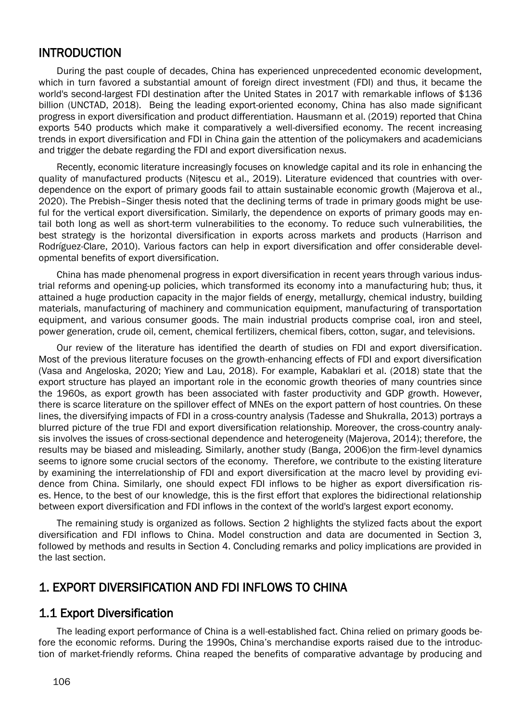## INTRODUCTION

During the past couple of decades, China has experienced unprecedented economic development, which in turn favored a substantial amount of foreign direct investment (FDI) and thus, it became the world's second-largest FDI destination after the United States in 2017 with remarkable inflows of \$136 billion (UNCTAD, 2018). Being the leading export-oriented economy, China has also made significant progress in export diversification and product differentiation. Hausmann et al. (2019) reported that China exports 540 products which make it comparatively a well-diversified economy. The recent increasing trends in export diversification and FDI in China gain the attention of the policymakers and academicians and trigger the debate regarding the FDI and export diversification nexus.

Recently, economic literature increasingly focuses on knowledge capital and its role in enhancing the quality of manufactured products (Nitescu et al., 2019). Literature evidenced that countries with overdependence on the export of primary goods fail to attain sustainable economic growth (Majerova et al., 2020). The Prebish–Singer thesis noted that the declining terms of trade in primary goods might be useful for the vertical export diversification. Similarly, the dependence on exports of primary goods may entail both long as well as short-term vulnerabilities to the economy. To reduce such vulnerabilities, the best strategy is the horizontal diversification in exports across markets and products (Harrison and Rodríguez-Clare, 2010). Various factors can help in export diversification and offer considerable developmental benefits of export diversification.

China has made phenomenal progress in export diversification in recent years through various industrial reforms and opening-up policies, which transformed its economy into a manufacturing hub; thus, it attained a huge production capacity in the major fields of energy, metallurgy, chemical industry, building materials, manufacturing of machinery and communication equipment, manufacturing of transportation equipment, and various consumer goods. The main industrial products comprise coal, iron and steel, power generation, crude oil, cement, chemical fertilizers, chemical fibers, cotton, sugar, and televisions.

Our review of the literature has identified the dearth of studies on FDI and export diversification. Most of the previous literature focuses on the growth-enhancing effects of FDI and export diversification (Vasa and Angeloska, 2020; Yiew and Lau, 2018). For example, Kabaklari et al. (2018) state that the export structure has played an important role in the economic growth theories of many countries since the 1960s, as export growth has been associated with faster productivity and GDP growth. However, there is scarce literature on the spillover effect of MNEs on the export pattern of host countries. On these lines, the diversifying impacts of FDI in a cross-country analysis (Tadesse and Shukralla, 2013) portrays a blurred picture of the true FDI and export diversification relationship. Moreover, the cross-country analysis involves the issues of cross-sectional dependence and heterogeneity (Majerova, 2014); therefore, the results may be biased and misleading. Similarly, another study (Banga, 2006)on the firm-level dynamics seems to ignore some crucial sectors of the economy. Therefore, we contribute to the existing literature by examining the interrelationship of FDI and export diversification at the macro level by providing evidence from China. Similarly, one should expect FDI inflows to be higher as export diversification rises. Hence, to the best of our knowledge, this is the first effort that explores the bidirectional relationship between export diversification and FDI inflows in the context of the world's largest export economy.

The remaining study is organized as follows. Section 2 highlights the stylized facts about the export diversification and FDI inflows to China. Model construction and data are documented in Section 3, followed by methods and results in Section 4. Concluding remarks and policy implications are provided in the last section.

## 1. EXPORT DIVERSIFICATION AND FDI INFLOWS TO CHINA

## 1.1 Export Diversification

The leading export performance of China is a well-established fact. China relied on primary goods before the economic reforms. During the 1990s, China's merchandise exports raised due to the introduction of market-friendly reforms. China reaped the benefits of comparative advantage by producing and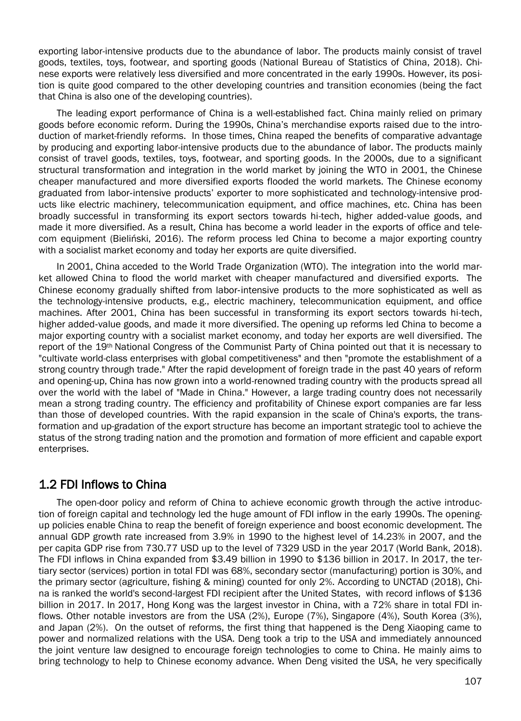exporting labor-intensive products due to the abundance of labor. The products mainly consist of travel goods, textiles, toys, footwear, and sporting goods (National Bureau of Statistics of China, 2018). Chinese exports were relatively less diversified and more concentrated in the early 1990s. However, its position is quite good compared to the other developing countries and transition economies (being the fact that China is also one of the developing countries).

The leading export performance of China is a well-established fact. China mainly relied on primary goods before economic reform. During the 1990s, China's merchandise exports raised due to the introduction of market-friendly reforms. In those times, China reaped the benefits of comparative advantage by producing and exporting labor-intensive products due to the abundance of labor. The products mainly consist of travel goods, textiles, toys, footwear, and sporting goods. In the 2000s, due to a significant structural transformation and integration in the world market by joining the WTO in 2001, the Chinese cheaper manufactured and more diversified exports flooded the world markets. The Chinese economy graduated from labor‐intensive products' exporter to more sophisticated and technology-intensive products like electric machinery, telecommunication equipment, and office machines, etc. China has been broadly successful in transforming its export sectors towards hi-tech, higher added‐value goods, and made it more diversified. As a result, China has become a world leader in the exports of office and telecom equipment (Bieliński, 2016). The reform process led China to become a major exporting country with a socialist market economy and today her exports are quite diversified.

In 2001, China acceded to the World Trade Organization (WTO). The integration into the world market allowed China to flood the world market with cheaper manufactured and diversified exports. The Chinese economy gradually shifted from labor‐intensive products to the more sophisticated as well as the technology-intensive products, e.g., electric machinery, telecommunication equipment, and office machines. After 2001, China has been successful in transforming its export sectors towards hi-tech, higher added-value goods, and made it more diversified. The opening up reforms led China to become a major exporting country with a socialist market economy, and today her exports are well diversified. The report of the 19th National Congress of the Communist Party of China pointed out that it is necessary to "cultivate world-class enterprises with global competitiveness" and then "promote the establishment of a strong country through trade." After the rapid development of foreign trade in the past 40 years of reform and opening-up, China has now grown into a world-renowned trading country with the products spread all over the world with the label of "Made in China." However, a large trading country does not necessarily mean a strong trading country. The efficiency and profitability of Chinese export companies are far less than those of developed countries. With the rapid expansion in the scale of China's exports, the transformation and up-gradation of the export structure has become an important strategic tool to achieve the status of the strong trading nation and the promotion and formation of more efficient and capable export enterprises.

## 1.2 FDI Inflows to China

The open-door policy and reform of China to achieve economic growth through the active introduction of foreign capital and technology led the huge amount of FDI inflow in the early 1990s. The openingup policies enable China to reap the benefit of foreign experience and boost economic development. The annual GDP growth rate increased from 3.9% in 1990 to the highest level of 14.23% in 2007, and the per capita GDP rise from 730.77 USD up to the level of 7329 USD in the year 2017 (World Bank, 2018). The FDI inflows in China expanded from \$3.49 billion in 1990 to \$136 billion in 2017. In 2017, the tertiary sector (services) portion in total FDI was 68%, secondary sector (manufacturing) portion is 30%, and the primary sector (agriculture, fishing & mining) counted for only 2%. According to UNCTAD (2018), China is ranked the world's second-largest FDI recipient after the United States, with record inflows of \$136 billion in 2017. In 2017, Hong Kong was the largest investor in China, with a 72% share in total FDI inflows. Other notable investors are from the USA (2%), Europe (7%), Singapore (4%), South Korea (3%), and Japan (2%). On the outset of reforms, the first thing that happened is the Deng Xiaoping came to power and normalized relations with the USA. Deng took a trip to the USA and immediately announced the joint venture law designed to encourage foreign technologies to come to China. He mainly aims to bring technology to help to Chinese economy advance. When Deng visited the USA, he very specifically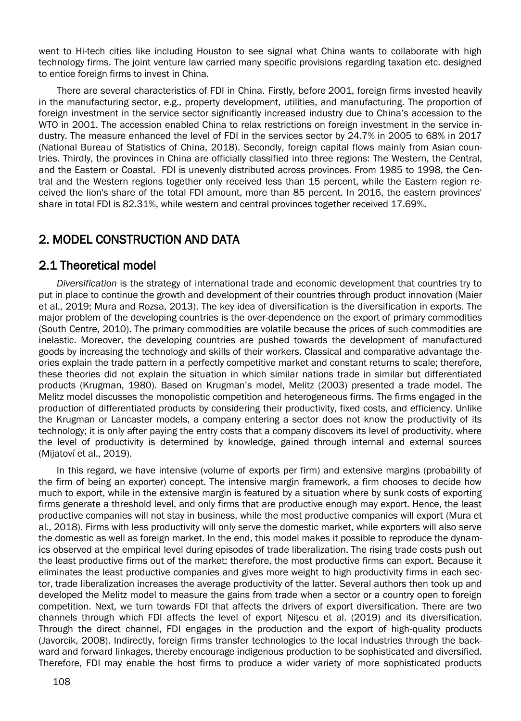went to Hi-tech cities like including Houston to see signal what China wants to collaborate with high technology firms. The joint venture law carried many specific provisions regarding taxation etc. designed to entice foreign firms to invest in China.

There are several characteristics of FDI in China. Firstly, before 2001, foreign firms invested heavily in the manufacturing sector, e.g., property development, utilities, and manufacturing. The proportion of foreign investment in the service sector significantly increased industry due to China's accession to the WTO in 2001. The accession enabled China to relax restrictions on foreign investment in the service industry. The measure enhanced the level of FDI in the services sector by 24.7% in 2005 to 68% in 2017 (National Bureau of Statistics of China, 2018). Secondly, foreign capital flows mainly from Asian countries. Thirdly, the provinces in China are officially classified into three regions: The Western, the Central, and the Eastern or Coastal. FDI is unevenly distributed across provinces. From 1985 to 1998, the Central and the Western regions together only received less than 15 percent, while the Eastern region received the lion's share of the total FDI amount, more than 85 percent. In 2016, the eastern provinces' share in total FDI is 82.31%, while western and central provinces together received 17.69%.

## 2. MODEL CONSTRUCTION AND DATA

## 2.1 Theoretical model

*Diversification* is the strategy of international trade and economic development that countries try to put in place to continue the growth and development of their countries through product innovation (Maier et al., 2019; Mura and Rozsa, 2013). The key idea of diversification is the diversification in exports. The major problem of the developing countries is the over-dependence on the export of primary commodities (South Centre, 2010). The primary commodities are volatile because the prices of such commodities are inelastic. Moreover, the developing countries are pushed towards the development of manufactured goods by increasing the technology and skills of their workers. Classical and comparative advantage theories explain the trade pattern in a perfectly competitive market and constant returns to scale; therefore, these theories did not explain the situation in which similar nations trade in similar but differentiated products (Krugman, 1980). Based on Krugman's model, Melitz (2003) presented a trade model. The Melitz model discusses the monopolistic competition and heterogeneous firms. The firms engaged in the production of differentiated products by considering their productivity, fixed costs, and efficiency. Unlike the Krugman or Lancaster models, a company entering a sector does not know the productivity of its technology; it is only after paying the entry costs that a company discovers its level of productivity, where the level of productivity is determined by knowledge, gained through internal and external sources (Mijatoví et al., 2019).

In this regard, we have intensive (volume of exports per firm) and extensive margins (probability of the firm of being an exporter) concept. The intensive margin framework, a firm chooses to decide how much to export, while in the extensive margin is featured by a situation where by sunk costs of exporting firms generate a threshold level, and only firms that are productive enough may export. Hence, the least productive companies will not stay in business, while the most productive companies will export (Mura et al., 2018). Firms with less productivity will only serve the domestic market, while exporters will also serve the domestic as well as foreign market. In the end, this model makes it possible to reproduce the dynamics observed at the empirical level during episodes of trade liberalization. The rising trade costs push out the least productive firms out of the market; therefore, the most productive firms can export. Because it eliminates the least productive companies and gives more weight to high productivity firms in each sector, trade liberalization increases the average productivity of the latter. Several authors then took up and developed the Melitz model to measure the gains from trade when a sector or a country open to foreign competition. Next, we turn towards FDI that affects the drivers of export diversification. There are two channels through which FDI affects the level of export Nitescu et al. (2019) and its diversification. Through the direct channel, FDI engages in the production and the export of high-quality products (Javorcik, 2008). Indirectly, foreign firms transfer technologies to the local industries through the backward and forward linkages, thereby encourage indigenous production to be sophisticated and diversified. Therefore, FDI may enable the host firms to produce a wider variety of more sophisticated products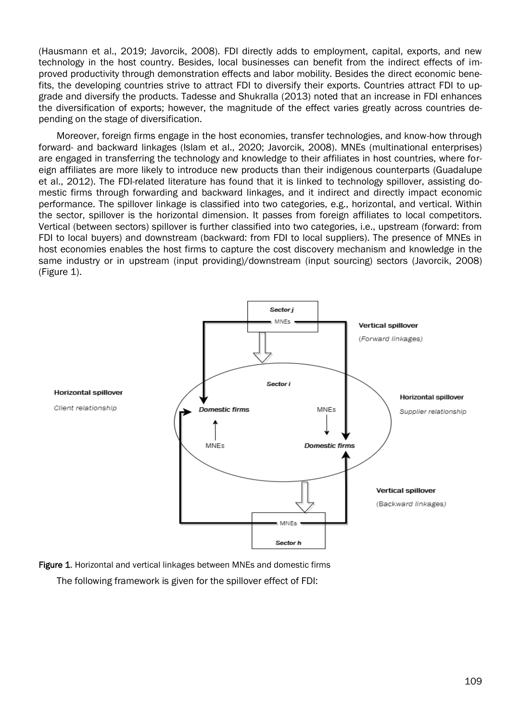(Hausmann et al., 2019; Javorcik, 2008). FDI directly adds to employment, capital, exports, and new technology in the host country. Besides, local businesses can benefit from the indirect effects of improved productivity through demonstration effects and labor mobility. Besides the direct economic benefits, the developing countries strive to attract FDI to diversify their exports. Countries attract FDI to upgrade and diversify the products. Tadesse and Shukralla (2013) noted that an increase in FDI enhances the diversification of exports; however, the magnitude of the effect varies greatly across countries depending on the stage of diversification.

Moreover, foreign firms engage in the host economies, transfer technologies, and know-how through forward- and backward linkages (Islam et al., 2020; Javorcik, 2008). MNEs (multinational enterprises) are engaged in transferring the technology and knowledge to their affiliates in host countries, where foreign affiliates are more likely to introduce new products than their indigenous counterparts (Guadalupe et al., 2012). The FDI-related literature has found that it is linked to technology spillover, assisting domestic firms through forwarding and backward linkages, and it indirect and directly impact economic performance. The spillover linkage is classified into two categories, e.g., horizontal, and vertical. Within the sector, spillover is the horizontal dimension. It passes from foreign affiliates to local competitors. Vertical (between sectors) spillover is further classified into two categories, i.e., upstream (forward: from FDI to local buyers) and downstream (backward: from FDI to local suppliers). The presence of MNEs in host economies enables the host firms to capture the cost discovery mechanism and knowledge in the same industry or in upstream (input providing)/downstream (input sourcing) sectors (Javorcik, 2008) (Figure 1).



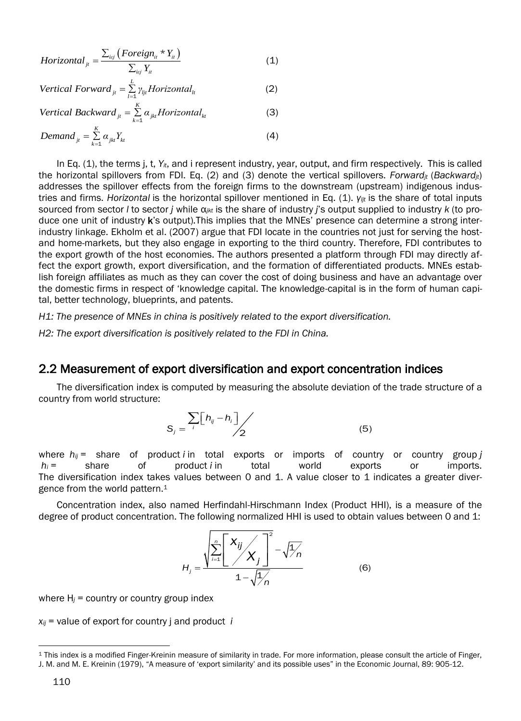$$
Horizontal_{ji} = \frac{\sum_{i\epsilon j} \left( Foreign_i * Y_i \right)}{\sum_{i\epsilon j} Y_{it}} \tag{1}
$$

Vertical Forward<sub>jt</sub> = 
$$
\sum_{l=1}^{L} \gamma_{ljt} Horizontal_{lt}
$$
 (2)

Vertical Backward<sub>jt</sub> = 
$$
\sum_{k=1}^{K} \alpha_{jkt}
$$
 Horizontal<sub>kt</sub> (3)

$$
Demand_{jt} = \sum_{k=1}^{K} \alpha_{jkt} Y_{kt}
$$
\n(4)

In Eq. (1), the terms j, t, *Yit*, and i represent industry, year, output, and firm respectively. This is called the horizontal spillovers from FDI. Eq. (2) and (3) denote the vertical spillovers. *Forwardjt* (*Backwardjt*) addresses the spillover effects from the foreign firms to the downstream (upstream) indigenous industries and firms. *Horizontal* is the horizontal spillover mentioned in Eq. (1). *γljt* is the share of total inputs sourced from sector *l* to sector *j* while α*jkt* is the share of industry *j*'s output supplied to industry *k* (to produce one unit of industry k's output)*.*This implies that the MNEs' presence can determine a strong interindustry linkage. Ekholm et al. (2007) argue that FDI locate in the countries not just for serving the hostand home-markets, but they also engage in exporting to the third country. Therefore, FDI contributes to the export growth of the host economies. The authors presented a platform through FDI may directly affect the export growth, export diversification, and the formation of differentiated products. MNEs establish foreign affiliates as much as they can cover the cost of doing business and have an advantage over the domestic firms in respect of 'knowledge capital. The knowledge-capital is in the form of human capital, better technology, blueprints, and patents.

*H1: The presence of MNEs in china is positively related to the export diversification.*

*H2: The export diversification is positively related to the FDI in China.*

## 2.2 Measurement of export diversification and export concentration indices

The diversification index is computed by measuring the absolute deviation of the trade structure of a country from world structure:

$$
S_j = \frac{\sum_{i} [h_{ij} - h_i]}{2} \tag{5}
$$

where *hij* = share of product *i* in total exports or imports of country or country group *j*  $h_i$  = share of product *i* in total world exports or imports. The diversification index takes values between 0 and 1. A value closer to 1 indicates a greater divergence from the world pattern.<sup>1</sup>

Concentration index, also named Herfindahl-Hirschmann Index (Product HHI), is a measure of the degree of product concentration. The following normalized HHI is used to obtain values between 0 and 1:

$$
H_j = \frac{\sqrt{\sum_{i=1}^n \left[ \frac{X_{ij}}{X_i} \right]^2} - \sqrt{\frac{1}{n}}}{1 - \sqrt{\frac{1}{n}}}
$$
(6)

where  $H_j$  = country or country group index

 $x_{ij}$  = value of export for country *j* and product *i* 

 $\overline{a}$ 

<sup>1</sup> This index is a modified Finger-Kreinin measure of similarity in trade. For more information, please consult the article of Finger, J. M. and M. E. Kreinin (1979), "A measure of 'export similarity' and its possible uses" in the Economic Journal, 89: 905-12.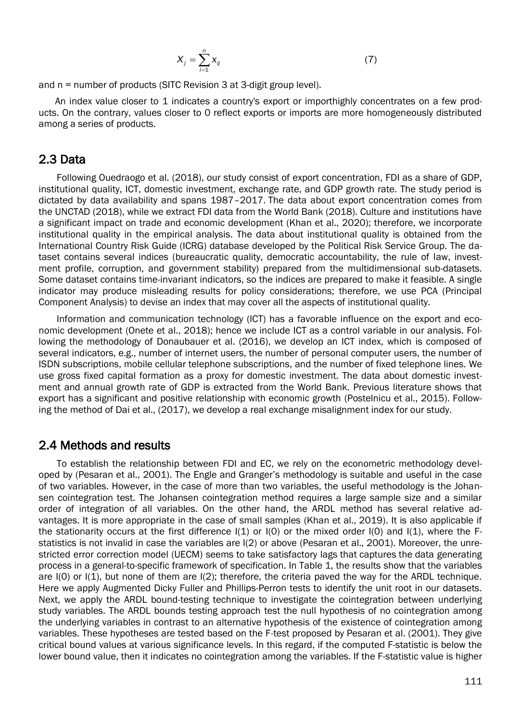$$
X_j = \sum_{i=1}^n X_{ij} \tag{7}
$$

and n = number of products (SITC Revision 3 at 3-digit group level).

An index value closer to 1 indicates a country's export or importhighly concentrates on a few products. On the contrary, values closer to 0 reflect exports or imports are more homogeneously distributed among a series of products.

## 2.3 Data

Following Ouedraogo et al. (2018), our study consist of export concentration, FDI as a share of GDP, institutional quality, ICT, domestic investment, exchange rate, and GDP growth rate. The study period is dictated by data availability and spans 1987–2017. The data about export concentration comes from the UNCTAD (2018), while we extract FDI data from the World Bank (2018). Culture and institutions have a significant impact on trade and economic development (Khan et al., 2020); therefore, we incorporate institutional quality in the empirical analysis. The data about institutional quality is obtained from the International Country Risk Guide (ICRG) database developed by the Political Risk Service Group. The dataset contains several indices (bureaucratic quality, democratic accountability, the rule of law, investment profile, corruption, and government stability) prepared from the multidimensional sub-datasets. Some dataset contains time-invariant indicators, so the indices are prepared to make it feasible. A single indicator may produce misleading results for policy considerations; therefore, we use PCA (Principal Component Analysis) to devise an index that may cover all the aspects of institutional quality.

Information and communication technology (ICT) has a favorable influence on the export and economic development (Onete et al., 2018); hence we include ICT as a control variable in our analysis. Following the methodology of Donaubauer et al. (2016), we develop an ICT index, which is composed of several indicators, e.g., number of internet users, the number of personal computer users, the number of ISDN subscriptions, mobile cellular telephone subscriptions, and the number of fixed telephone lines. We use gross fixed capital formation as a proxy for domestic investment. The data about domestic investment and annual growth rate of GDP is extracted from the World Bank. Previous literature shows that export has a significant and positive relationship with economic growth (Postelnicu et al., 2015). Following the method of Dai et al., (2017), we develop a real exchange misalignment index for our study.

## 2.4 Methods and results

To establish the relationship between FDI and EC, we rely on the econometric methodology developed by (Pesaran et al., 2001). The Engle and Granger's methodology is suitable and useful in the case of two variables. However, in the case of more than two variables, the useful methodology is the Johansen cointegration test. The Johansen cointegration method requires a large sample size and a similar order of integration of all variables. On the other hand, the ARDL method has several relative advantages. It is more appropriate in the case of small samples (Khan et al., 2019). It is also applicable if the stationarity occurs at the first difference  $I(1)$  or  $I(0)$  or the mixed order  $I(0)$  and  $I(1)$ , where the Fstatistics is not invalid in case the variables are I(2) or above (Pesaran et al., 2001). Moreover, the unrestricted error correction model (UECM) seems to take satisfactory lags that captures the data generating process in a general-to-specific framework of specification. In Table 1, the results show that the variables are  $I(0)$  or  $I(1)$ , but none of them are  $I(2)$ ; therefore, the criteria paved the way for the ARDL technique. Here we apply Augmented Dicky Fuller and Phillips-Perron tests to identify the unit root in our datasets. Next, we apply the ARDL bound-testing technique to investigate the cointegration between underlying study variables. The ARDL bounds testing approach test the null hypothesis of no cointegration among the underlying variables in contrast to an alternative hypothesis of the existence of cointegration among variables. These hypotheses are tested based on the F-test proposed by Pesaran et al. (2001). They give critical bound values at various significance levels. In this regard, if the computed F-statistic is below the lower bound value, then it indicates no cointegration among the variables. If the F-statistic value is higher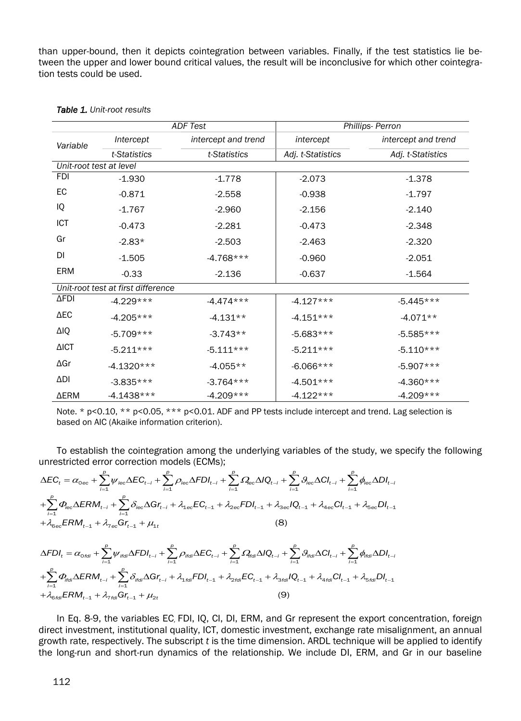than upper-bound, then it depicts cointegration between variables. Finally, if the test statistics lie between the upper and lower bound critical values, the result will be inconclusive for which other cointegration tests could be used.

|                         |                                    | <b>ADF Test</b>     | Phillips- Perron  |                     |  |  |
|-------------------------|------------------------------------|---------------------|-------------------|---------------------|--|--|
| Variable                | Intercept                          | intercept and trend | intercept         | intercept and trend |  |  |
|                         | t-Statistics                       | t-Statistics        | Adj. t-Statistics | Adj. t-Statistics   |  |  |
| Unit-root test at level |                                    |                     |                   |                     |  |  |
| <b>FDI</b>              | $-1.930$                           | $-1.778$            | $-2.073$          | $-1.378$            |  |  |
| EC                      | $-0.871$                           | $-2.558$            | $-0.938$          | $-1.797$            |  |  |
| IQ                      | $-1.767$                           | $-2.960$            | $-2.156$          | $-2.140$            |  |  |
| ICT                     | $-0.473$                           | $-2.281$            | $-0.473$          | $-2.348$            |  |  |
| Gr                      | $-2.83*$                           | $-2.503$            | $-2.463$          | $-2.320$            |  |  |
| DI                      | $-1.505$                           | $-4.768***$         | $-0.960$          | $-2.051$            |  |  |
| ERM                     | $-0.33$<br>$-2.136$                |                     | $-0.637$          | $-1.564$            |  |  |
|                         | Unit-root test at first difference |                     |                   |                     |  |  |
| ΔFDI                    | $-4.229***$                        | $-4.474***$         | $-4.127***$       | $-5.445***$         |  |  |
| $\Delta$ EC             | $-4.205***$                        | $-4.131**$          | $-4.151***$       | $-4.071**$          |  |  |
| ΔIQ                     | $-5.709***$                        | $-3.743**$          | $-5.683***$       | $-5.585***$         |  |  |
| $\triangle$ ICT         | $-5.211***$<br>$-5.111***$         |                     | $-5.211***$       | $-5.110***$         |  |  |
| $\Delta$ Gr             | $-4.1320***$                       | $-4.055**$          | $-6.066***$       | $-5.907***$         |  |  |
| $\Delta$ DI             | $-3.835***$                        | $-3.764***$         | $-4.501***$       | $-4.360***$         |  |  |
| ΔERM                    | $-4.1438***$                       | $-4.209***$         | $-4.122***$       | $-4.209***$         |  |  |

### *Table 1. Unit-root results*

Note. \* p<0.10, \*\* p<0.05, \*\*\* p<0.01. ADF and PP tests include intercept and trend. Lag selection is based on AIC (Akaike information criterion).

To establish the cointegration among the underlying variables of the study, we specify the following unrestricted error correction models (ECMs);

$$
\Delta EC_{t} = \alpha_{0ee} + \sum_{i=1}^{p} \psi_{iec} \Delta EC_{t-i} + \sum_{i=1}^{p} \rho_{iec} \Delta FDl_{t-i} + \sum_{i=1}^{p} \Omega_{ee} \Delta IQ_{t-i} + \sum_{i=1}^{p} \vartheta_{iec} \Delta CI_{t-i} + \sum_{i=1}^{p} \varphi_{iec} \Delta DI_{t-i} \n+ \sum_{i=1}^{p} \Phi_{iec} \Delta ERM_{t-i} + \sum_{i=1}^{p} \delta_{iec} \Delta GT_{t-i} + \lambda_{1ee} EC_{t-1} + \lambda_{2ee} FDl_{t-1} + \lambda_{3ee} IQ_{t-1} + \lambda_{4ee} CI_{t-1} + \lambda_{5ee} DI_{t-1} \n+ \lambda_{6ee} ERM_{t-1} + \lambda_{7ee} GT_{t-1} + \mu_{1t}
$$
\n(8)  
\n
$$
\Delta FDl_{t} = \alpha_{0fdi} + \sum_{i=1}^{p} \psi_{ifdi} \Delta FDl_{t-i} + \sum_{i=1}^{p} \rho_{ifdi} \Delta EC_{t-i} + \sum_{i=1}^{p} \Omega_{fdi} \Delta IQ_{t-i} + \sum_{i=1}^{p} \vartheta_{ifdi} \Delta CI_{t-i} + \sum_{i=1}^{p} \varphi_{ifdi} \Delta DI_{t-i}
$$

$$
\sum_{i=1}^{P} \Phi_{\text{ifcl}} \Delta E R M_{t-i} + \sum_{i=1}^{P} \delta_{\text{ifcl}} \Delta G r_{t-i} + \lambda_{1 \text{ifcl}} F D l_{t-1} + \lambda_{2 \text{ifcl}} E C_{t-1} + \lambda_{3 \text{ifcl}} I Q_{t-1} + \lambda_{4 \text{ifcl}} C l_{t-1} + \lambda_{5 \text{ifcl}} D l_{t-1} + \lambda_{6 \text{ifcl}} E R M_{t-1} + \lambda_{7 \text{ifcl}} G r_{t-1} + \mu_{2 \text{ifcl}} F R M_{t-1} + \lambda_{8 \text{ifcl}} G r_{t-1} + \mu_{2 \text{ifcl}} G r_{t-1} + \mu_{3 \text{ifcl}} G r_{t-1} + \mu_{4 \text{ifcl}} G r_{t-1} + \mu_{6 \text{ifcl}} G r_{t-1} + \mu_{7 \text{ifcl}} G r_{t-1} + \mu_{8 \text{ifcl}} G r_{t-1} + \mu_{9 \text{ifcl}} G r_{t-1} + \mu_{1 \text{ifcl}} G r_{t-1} + \mu_{1 \text{ifcl}} G r_{t-1} + \mu_{1 \text{ifcl}} G r_{t-1} + \mu_{1 \text{ifcl}} G r_{t-1} + \mu_{1 \text{ifcl}} G r_{t-1} + \mu_{1 \text{ifcl}} G r_{t-1} + \mu_{1 \text{ifcl}} G r_{t-1} + \mu_{1 \text{ifcl}} G r_{t-1} + \mu_{1 \text{ifcl}} G r_{t-1} + \mu_{1 \text{ifcl}} G r_{t-1} + \mu_{1 \text{ifcl}} G r_{t-1} + \mu_{1 \text{ifcl}} G r_{t-1} + \mu_{1 \text{ifcl}} G r_{t-1} + \mu_{1 \text{ifcl}} G r_{t-1} + \mu_{1 \text{ifcl}} G r_{t-1} + \mu_{1 \text{ifcl}} G r_{t-1} + \mu_{1 \text{ifcl}} G r_{t-1} + \mu_{1 \text{ifcl}} G r_{t-1} + \mu_{1 \text{ifcl}} G r_{t-1} + \mu_{1 \text{ifcl}} G r_{t-1} + \mu_{1 \text{ifcl}} G r_{t-1} + \mu_{1 \text{ifcl}} G r_{t-1} + \mu_{1 \text{ifcl}} G r_{t-1
$$

In Eq. 8-9, the variables EC*,* FDI, IQ, CI, DI, ERM, and Gr represent the export concentration, foreign direct investment, institutional quality, ICT, domestic investment, exchange rate misalignment, an annual growth rate, respectively. The subscript *t* is the time dimension. ARDL technique will be applied to identify the long-run and short-run dynamics of the relationship. We include DI, ERM, and Gr in our baseline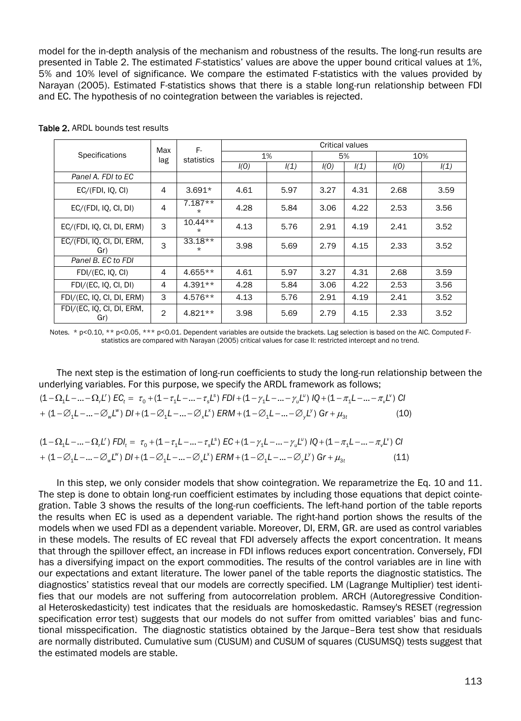model for the in-depth analysis of the mechanism and robustness of the results. The long-run results are presented in Table 2. The estimated *F*-statistics' values are above the upper bound critical values at 1%, 5% and 10% level of significance. We compare the estimated F-statistics with the values provided by Narayan (2005). Estimated F-statistics shows that there is a stable long-run relationship between FDI and EC. The hypothesis of no cointegration between the variables is rejected.

|                                  | Max            | F-<br>statistics      | <b>Critical values</b> |      |      |      |      |      |  |
|----------------------------------|----------------|-----------------------|------------------------|------|------|------|------|------|--|
| Specifications                   | lag            |                       | 1%                     |      | 5%   |      | 10%  |      |  |
|                                  |                |                       | I(0)                   | I(1) | I(0) | I(1) | I(0) | I(1) |  |
| Panel A. FDI to EC               |                |                       |                        |      |      |      |      |      |  |
| EC/(FDI, IQ, CI)                 | 4              | $3.691*$              | 4.61                   | 5.97 | 3.27 | 4.31 | 2.68 | 3.59 |  |
| EC/(FDI, IQ, CI, DI)             | $\overline{4}$ | $7.187**$<br>$\star$  | 4.28                   | 5.84 | 3.06 | 4.22 | 2.53 | 3.56 |  |
| EC/(FDI, IQ, CI, DI, ERM)        | 3              | $10.44**$<br>$^\star$ | 4.13                   | 5.76 | 2.91 | 4.19 | 2.41 | 3.52 |  |
| EC/(FDI, IQ, CI, DI, ERM,<br>Gr) | 3              | $33.18**$<br>$\star$  | 3.98                   | 5.69 | 2.79 | 4.15 | 2.33 | 3.52 |  |
| Panel B. EC to FDI               |                |                       |                        |      |      |      |      |      |  |
| FDI/(EC, IQ, CI)                 | 4              | $4.655**$             | 4.61                   | 5.97 | 3.27 | 4.31 | 2.68 | 3.59 |  |
| FDI/(EC, IQ, CI, DI)             | 4              | $4.391**$             | 4.28                   | 5.84 | 3.06 | 4.22 | 2.53 | 3.56 |  |
| FDI/(EC, IQ, CI, DI, ERM)        | 3              | $4.576**$             | 4.13                   | 5.76 | 2.91 | 4.19 | 2.41 | 3.52 |  |
| FDI/(EC, IQ, CI, DI, ERM,<br>Gr) | $\overline{2}$ | $4.821**$             | 3.98                   | 5.69 | 2.79 | 4.15 | 2.33 | 3.52 |  |

Table 2. ARDL bounds test results

Notes. \* p<0.10, \*\* p<0.05, \*\*\* p<0.01. Dependent variables are outside the brackets. Lag selection is based on the AIC. Computed Fstatistics are compared with Narayan (2005) critical values for case II: restricted intercept and no trend.

The next step is the estimation of long-run coefficients to study the long-run relationship between the underlying variables. For this purpose, we specify the ARDL framework as follows;

$$
(1 - \Omega_1 L - \dots - \Omega_r L') \text{ EC}_t = \tau_0 + (1 - \tau_1 L - \dots - \tau_s L^s) \text{ FDI} + (1 - \gamma_1 L - \dots - \gamma_u L^u) \text{ IQ} + (1 - \pi_1 L - \dots - \pi_v L^v) \text{ CI}
$$
  
+ (1 - \varnothing\_1 L - \dots - \varnothing\_w L^w) \text{ DI} + (1 - \varnothing\_1 L - \dots - \varnothing\_x L^s) \text{ ERM} + (1 - \varnothing\_1 L - \dots - \varnothing\_y L^v) \text{ Gr} + \mu\_{3t} \tag{10}

| $(1-\Omega_1L--\Omega_rL')$ FDI <sub>t</sub> = $\tau_0+(1-\tau_1L--\tau_sL^s)$ EC + $(1-\gamma_1L--\gamma_uL^u)$ IQ + $(1-\pi_1L--\pi_vL^v)$ CI                           |      |
|---------------------------------------------------------------------------------------------------------------------------------------------------------------------------|------|
| + $(1 - \varnothing_1 L -  - \varnothing_w L^w)$ DI + $(1 - \varnothing_1 L -  - \varnothing_x L^x)$ ERM + $(1 - \varnothing_1 L -  - \varnothing_v L^v)$ Gr + $\mu_{3t}$ | (11) |

In this step, we only consider models that show cointegration. We reparametrize the Eq. 10 and 11. The step is done to obtain long-run coefficient estimates by including those equations that depict cointegration. Table 3 shows the results of the long-run coefficients. The left-hand portion of the table reports the results when EC is used as a dependent variable. The right-hand portion shows the results of the models when we used FDI as a dependent variable. Moreover, DI, ERM, GR. are used as control variables in these models. The results of EC reveal that FDI adversely affects the export concentration. It means that through the spillover effect, an increase in FDI inflows reduces export concentration. Conversely, FDI has a diversifying impact on the export commodities. The results of the control variables are in line with our expectations and extant literature. The lower panel of the table reports the diagnostic statistics. The diagnostics' statistics reveal that our models are correctly specified. LM (Lagrange Multiplier) test identifies that our models are not suffering from autocorrelation problem. ARCH (Autoregressive Conditional Heteroskedasticity) test indicates that the residuals are homoskedastic. Ramsey's RESET (regression specification error test) suggests that our models do not suffer from omitted variables' bias and functional misspecification. The diagnostic statistics obtained by the Jarque–Bera test show that residuals are normally distributed. Cumulative sum (CUSUM) and CUSUM of squares (CUSUMSQ) tests suggest that the estimated models are stable.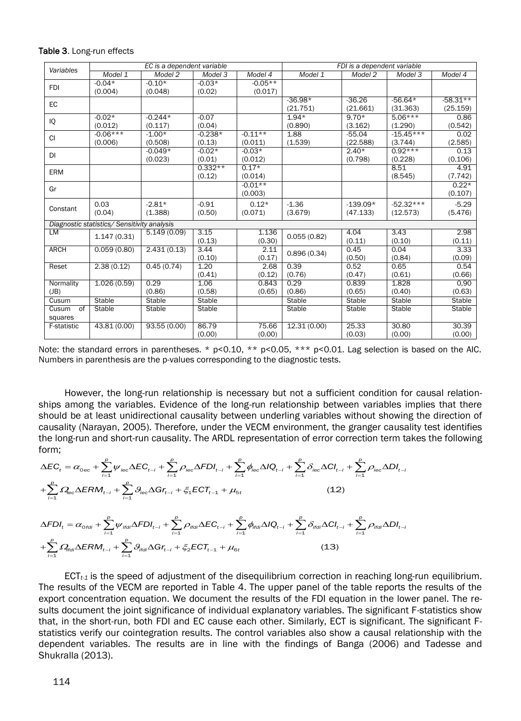|             | EC is a dependent variable                  |              |           |           | FDI is a dependent variable |            |             |               |  |
|-------------|---------------------------------------------|--------------|-----------|-----------|-----------------------------|------------|-------------|---------------|--|
| Variables   | Model 1                                     | Model 2      | Model 3   | Model 4   | Model 1                     | Model 2    | Model 3     | Model 4       |  |
| <b>FDI</b>  | $-0.04*$                                    | $-0.10*$     | $-0.03*$  | $-0.05**$ |                             |            |             |               |  |
|             | (0.004)                                     | (0.048)      | (0.02)    | (0.017)   |                             |            |             |               |  |
| EC          |                                             |              |           |           | $-36.98*$                   | $-36.26$   | $-56.64*$   | $-58.31**$    |  |
|             |                                             |              |           |           | (21.751)                    | (21.661)   | (31.363)    | (25.159)      |  |
| IQ          | $-0.02*$                                    | $-0.244*$    | $-0.07$   |           | $1.94*$                     | $9.70*$    | $5.06***$   | 0.86          |  |
|             | (0.012)                                     | (0.117)      | (0.04)    |           | (0.890)                     | (3.162)    | (1.290)     | (0.542)       |  |
| <b>CI</b>   | $-0.06***$                                  | $-1.00*$     | $-0.238*$ | $-0.11**$ | 1.88                        | $-55.04$   | $-15.45***$ | 0.02          |  |
|             | (0.006)                                     | (0.508)      | (0.13)    | (0.011)   | (1.539)                     | (22.588)   | (3.744)     | (2.585)       |  |
| <b>DI</b>   |                                             | $-0.049*$    | $-0.02*$  | $-0.03*$  |                             | $2.40*$    | $0.92***$   | 0.13          |  |
|             |                                             | (0.023)      | (0.01)    | (0.012)   |                             | (0.798)    | (0.228)     | (0.106)       |  |
| <b>ERM</b>  |                                             |              | $0.332**$ | $0.17*$   |                             |            | 8.51        | 4.91          |  |
|             |                                             |              | (0.12)    | (0.014)   |                             |            | (8.545)     | (7.742)       |  |
| Gr          |                                             |              |           | $-0.01**$ |                             |            |             | $0.22*$       |  |
|             |                                             |              |           | (0.003)   |                             |            |             | (0.107)       |  |
|             | 0.03                                        | $-2.81*$     | $-0.91$   | $0.12*$   | $-1.36$                     | $-139.09*$ | $-52.32***$ | $-5.29$       |  |
| Constant    | (0.04)                                      | (1.388)      | (0.50)    | (0.071)   | (3.679)                     | (47.133)   | (12.573)    | (5.476)       |  |
|             | Diagnostic statistics/ Sensitivity analysis |              |           |           |                             |            |             |               |  |
| LM          |                                             | 5.149(0.09)  | 3.15      | 1.136     |                             | 4.04       | 3.43        | 2.98          |  |
|             | 1.147(0.31)                                 |              | (0.13)    | (0.30)    | 0.055(0.82)                 | (0.11)     | (0.10)      | (0.11)        |  |
| <b>ARCH</b> | 0.059(0.80)                                 | 2.431(0.13)  | 3.44      | 2.11      |                             | 0.45       | 0.04        | 3.33          |  |
|             |                                             |              | (0.10)    | (0.17)    | 0.896(0.34)                 | (0.50)     | (0.84)      | (0.09)        |  |
| Reset       | 2.38(0.12)                                  | 0.45(0.74)   | 1.20      | 2.68      | 0.39                        | 0.52       | 0.65        | 0.54          |  |
|             |                                             |              | (0.41)    | (0.12)    | (0.76)                      | (0.47)     | (0.61)      | (0.66)        |  |
| Normality   | 1.026(0.59)                                 | 0.29         | 1.06      | 0.843     | 0.29                        | 0.839      | 1.828       | 0,90          |  |
| (JB)        |                                             | (0.86)       | (0.58)    | (0.65)    | (0.86)                      | (0.65)     | (0.40)      | (0.63)        |  |
| Cusum       | Stable                                      | Stable       | Stable    |           | Stable                      | Stable     | Stable      | Stable        |  |
| Cusum<br>of | Stable                                      | Stable       | Stable    |           | Stable                      | Stable     | Stable      | <b>Stable</b> |  |
| squares     |                                             |              |           |           |                             |            |             |               |  |
| F-statistic | 43.81 (0.00)                                | 93.55 (0.00) | 86.79     | 75.66     | 12.31 (0.00)                | 25.33      | 30.80       | 30.39         |  |
|             |                                             |              | (0.00)    | (0.00)    |                             | (0.03)     | (0.00)      | (0.00)        |  |

Table 3. Long-run effects

Note: the standard errors in parentheses. \* p<0.10, \*\* p<0.05, \*\*\* p<0.01. Lag selection is based on the AIC. Numbers in parenthesis are the p-values corresponding to the diagnostic tests.

However, the long-run relationship is necessary but not a sufficient condition for causal relationships among the variables. Evidence of the long-run relationship between variables implies that there should be at least unidirectional causality between underling variables without showing the direction of causality (Narayan, 2005). Therefore, under the VECM environment, the granger causality test identifies the long-run and short-run causality. The ARDL representation of error correction term takes the following form;

$$
\Delta EC_{t} = \alpha_{0ec} + \sum_{i=1}^{p} \psi_{iec} \Delta EC_{t-i} + \sum_{i=1}^{p} \rho_{iec} \Delta FDI_{t-i} + \sum_{i=1}^{p} \phi_{iec} \Delta IQ_{t-i} + \sum_{i=1}^{p} \delta_{iec} \Delta CI_{t-i} + \sum_{i=1}^{p} \rho_{iec} \Delta DI_{t-i} \n+ \sum_{i=1}^{p} \Omega_{iec} \Delta ERM_{t-i} + \sum_{i=1}^{p} \theta_{iec} \Delta Gr_{t-i} + \xi_{1} ECT_{t-1} + \mu_{5t}
$$
\n(12)\n
$$
\Delta FDI_{t} = \alpha_{\text{ordi}} + \sum_{i=1}^{p} \psi_{\text{ifdi}} \Delta FDI_{t-i} + \sum_{i=1}^{p} \rho_{\text{ifdi}} \Delta EC_{t-i} + \sum_{i=1}^{p} \phi_{\text{ifdi}} \Delta IQ_{t-i} + \sum_{i=1}^{p} \delta_{\text{ifdi}} \Delta CI_{t-i} + \sum_{i=1}^{p} \rho_{\text{ifdi}} \Delta DI_{t-i}
$$

$$
+\sum_{i=1}^{p} \Omega_{\text{ffdl}} \Delta \text{ERM}_{t-i} + \sum_{i=1}^{p} \theta_{\text{ffdl}} \Delta \text{Gr}_{t-i} + \zeta_{2} \text{ECT}_{t-1} + \mu_{6t}
$$
\n(13)

ECT*t-1* is the speed of adjustment of the disequilibrium correction in reaching long-run equilibrium. The results of the VECM are reported in Table 4. The upper panel of the table reports the results of the export concentration equation. We document the results of the FDI equation in the lower panel. The results document the joint significance of individual explanatory variables. The significant F-statistics show that, in the short-run, both FDI and EC cause each other. Similarly, ECT is significant. The significant Fstatistics verify our cointegration results. The control variables also show a causal relationship with the dependent variables. The results are in line with the findings of Banga (2006) and Tadesse and Shukralla (2013).

= 1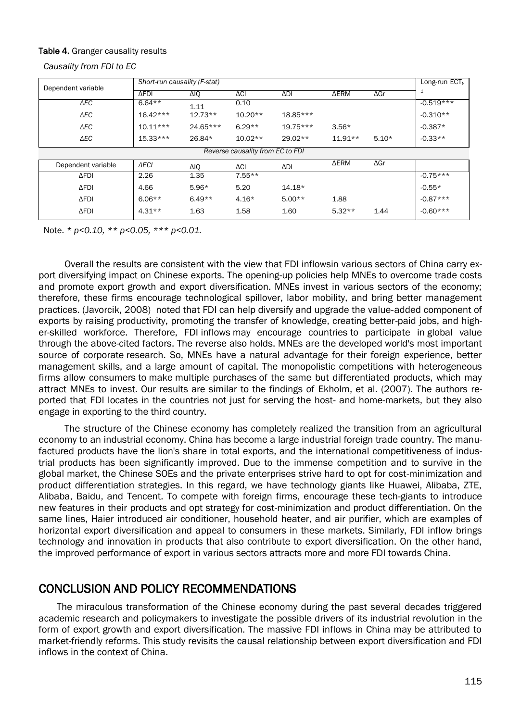#### Table 4. Granger causality results

*Causality from FDI to EC*

|                    | Short-run causality (F-stat) | Long-run $ECTt$ .  |                                  |            |             |             |             |
|--------------------|------------------------------|--------------------|----------------------------------|------------|-------------|-------------|-------------|
| Dependent variable | <b>AFDI</b>                  | ΔΙΟ<br>$\Delta$ CI |                                  | ΔDΙ        | <b>AERM</b> |             | 1           |
| $\triangle$ EC     | $6.64**$                     | 1.11               | 0.10                             |            |             |             | $-0.519***$ |
| $\triangle$ EC     | $16.42***$                   | $12.73**$          | $10.20**$                        | 18.85***   |             |             | $-0.310**$  |
| $\triangle$ EC     | $10.11***$                   | 24.65***           | $6.29**$                         | $19.75***$ | $3.56*$     |             | $-0.387*$   |
| $\Delta$ EC        | $15.33***$                   | 26.84*             | $10.02**$                        | $29.02**$  | $11.91**$   | $5.10*$     | $-0.33**$   |
|                    |                              |                    | Reverse causality from EC to FDI |            |             |             |             |
| Dependent variable | $\triangle$ ECI              | ΔΙΟ                | ΔCI                              | ΔDΙ        | <b>AERM</b> | $\Delta$ Gr |             |
| <b>AFDI</b>        | 2.26                         | 1.35               | $7.55**$                         |            |             |             | $-0.75***$  |
| $\Delta$ FDI       | 4.66                         | $5.96*$            | 5.20                             | $14.18*$   |             |             | $-0.55*$    |
| <b>AFDI</b>        | $6.06**$                     | $6.49**$           | $4.16*$                          | $5.00**$   | 1.88        |             | $-0.87***$  |
| <b>AFDI</b>        | $4.31**$                     | 1.63               | 1.58                             | 1.60       | $5.32**$    | 1.44        | $-0.60***$  |

Note. *\* p<0.10, \*\* p<0.05, \*\*\* p<0.01.* 

Overall the results are consistent with the view that FDI inflowsin various sectors of China carry export diversifying impact on Chinese exports. The opening-up policies help MNEs to overcome trade costs and promote export growth and export diversification. MNEs invest in various sectors of the economy; therefore, these firms encourage technological spillover, labor mobility, and bring better management practices. (Javorcik, 2008) noted that FDI can help diversify and upgrade the value‐added component of exports by raising productivity, promoting the transfer of knowledge, creating better-paid jobs, and higher-skilled workforce. Therefore, FDI inflows may encourage countries to participate in global value through the above-cited factors. The reverse also holds. MNEs are the developed world's most important source of corporate research. So, MNEs have a natural advantage for their foreign experience, better management skills, and a large amount of capital. The monopolistic competitions with heterogeneous firms allow consumers to make multiple purchases of the same but differentiated products, which may attract MNEs to invest. Our results are similar to the findings of Ekholm, et al. (2007). The authors reported that FDI locates in the countries not just for serving the host- and home-markets, but they also engage in exporting to the third country.

The structure of the Chinese economy has completely realized the transition from an agricultural economy to an industrial economy. China has become a large industrial foreign trade country. The manufactured products have the lion's share in total exports, and the international competitiveness of industrial products has been significantly improved. Due to the immense competition and to survive in the global market, the Chinese SOEs and the private enterprises strive hard to opt for cost-minimization and product differentiation strategies. In this regard, we have technology giants like Huawei, Alibaba, ZTE, Alibaba, Baidu, and Tencent. To compete with foreign firms, encourage these tech-giants to introduce new features in their products and opt strategy for cost-minimization and product differentiation. On the same lines, Haier introduced air conditioner, household heater, and air purifier, which are examples of horizontal export diversification and appeal to consumers in these markets. Similarly, FDI inflow brings technology and innovation in products that also contribute to export diversification. On the other hand, the improved performance of export in various sectors attracts more and more FDI towards China.

## CONCLUSION AND POLICY RECOMMENDATIONS

The miraculous transformation of the Chinese economy during the past several decades triggered academic research and policymakers to investigate the possible drivers of its industrial revolution in the form of export growth and export diversification. The massive FDI inflows in China may be attributed to market-friendly reforms. This study revisits the causal relationship between export diversification and FDI inflows in the context of China.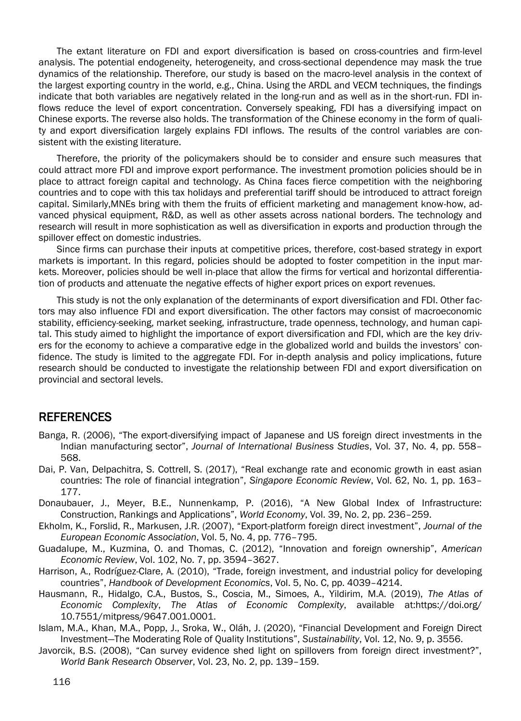The extant literature on FDI and export diversification is based on cross-countries and firm-level analysis. The potential endogeneity, heterogeneity, and cross-sectional dependence may mask the true dynamics of the relationship. Therefore, our study is based on the macro-level analysis in the context of the largest exporting country in the world, e.g., China. Using the ARDL and VECM techniques, the findings indicate that both variables are negatively related in the long-run and as well as in the short-run. FDI inflows reduce the level of export concentration. Conversely speaking, FDI has a diversifying impact on Chinese exports. The reverse also holds. The transformation of the Chinese economy in the form of quality and export diversification largely explains FDI inflows. The results of the control variables are consistent with the existing literature.

Therefore, the priority of the policymakers should be to consider and ensure such measures that could attract more FDI and improve export performance. The investment promotion policies should be in place to attract foreign capital and technology. As China faces fierce competition with the neighboring countries and to cope with this tax holidays and preferential tariff should be introduced to attract foreign capital. Similarly,MNEs bring with them the fruits of efficient marketing and management know-how, advanced physical equipment, R&D, as well as other assets across national borders. The technology and research will result in more sophistication as well as diversification in exports and production through the spillover effect on domestic industries.

Since firms can purchase their inputs at competitive prices, therefore, cost-based strategy in export markets is important. In this regard, policies should be adopted to foster competition in the input markets. Moreover, policies should be well in-place that allow the firms for vertical and horizontal differentiation of products and attenuate the negative effects of higher export prices on export revenues.

This study is not the only explanation of the determinants of export diversification and FDI. Other factors may also influence FDI and export diversification. The other factors may consist of macroeconomic stability, efficiency-seeking, market seeking, infrastructure, trade openness, technology, and human capital. This study aimed to highlight the importance of export diversification and FDI, which are the key drivers for the economy to achieve a comparative edge in the globalized world and builds the investors' confidence. The study is limited to the aggregate FDI. For in-depth analysis and policy implications, future research should be conducted to investigate the relationship between FDI and export diversification on provincial and sectoral levels.

## REFERENCES

- Banga, R. (2006), "The export-diversifying impact of Japanese and US foreign direct investments in the Indian manufacturing sector", *Journal of International Business Studies*, Vol. 37, No. 4, pp. 558– 568.
- Dai, P. Van, Delpachitra, S. Cottrell, S. (2017), "Real exchange rate and economic growth in east asian countries: The role of financial integration", *Singapore Economic Review*, Vol. 62, No. 1, pp. 163– 177.
- Donaubauer, J., Meyer, B.E., Nunnenkamp, P. (2016), "A New Global Index of Infrastructure: Construction, Rankings and Applications", *World Economy*, Vol. 39, No. 2, pp. 236–259.
- Ekholm, K., Forslid, R., Markusen, J.R. (2007), "Export-platform foreign direct investment", *Journal of the European Economic Association*, Vol. 5, No. 4, pp. 776–795.
- Guadalupe, M., Kuzmina, O. and Thomas, C. (2012), "Innovation and foreign ownership", *American Economic Review*, Vol. 102, No. 7, pp. 3594–3627.
- Harrison, A., Rodríguez-Clare, A. (2010), "Trade, foreign investment, and industrial policy for developing countries", *Handbook of Development Economics*, Vol. 5, No. C, pp. 4039–4214.
- Hausmann, R., Hidalgo, C.A., Bustos, S., Coscia, M., Simoes, A., Yildirim, M.A. (2019), *The Atlas of Economic Complexity*, *The Atlas of Economic Complexity*, available at:https://doi.org/ 10.7551/mitpress/9647.001.0001.
- Islam, M.A., Khan, M.A., Popp, J., Sroka, W., Oláh, J. (2020), "Financial Development and Foreign Direct Investment—The Moderating Role of Quality Institutions", *Sustainability*, Vol. 12, No. 9, p. 3556.
- Javorcik, B.S. (2008), "Can survey evidence shed light on spillovers from foreign direct investment?", *World Bank Research Observer*, Vol. 23, No. 2, pp. 139–159.